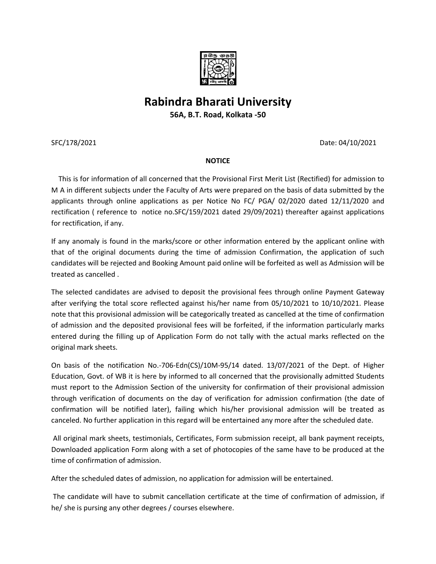

## **Rabindra Bharati University**

**56A, B.T. Road, Kolkata -50**

SFC/178/2021 Date: 04/10/2021

## **NOTICE**

 This is for information of all concerned that the Provisional First Merit List (Rectified) for admission to M A in different subjects under the Faculty of Arts were prepared on the basis of data submitted by the applicants through online applications as per Notice No FC/ PGA/ 02/2020 dated 12/11/2020 and rectification ( reference to notice no.SFC/159/2021 dated 29/09/2021) thereafter against applications for rectification, if any.

If any anomaly is found in the marks/score or other information entered by the applicant online with that of the original documents during the time of admission Confirmation, the application of such candidates will be rejected and Booking Amount paid online will be forfeited as well as Admission will be treated as cancelled .

The selected candidates are advised to deposit the provisional fees through online Payment Gateway after verifying the total score reflected against his/her name from 05/10/2021 to 10/10/2021. Please note that this provisional admission will be categorically treated as cancelled at the time of confirmation of admission and the deposited provisional fees will be forfeited, if the information particularly marks entered during the filling up of Application Form do not tally with the actual marks reflected on the original mark sheets.

On basis of the notification No.-706-Edn(CS)/10M-95/14 dated. 13/07/2021 of the Dept. of Higher Education, Govt. of WB it is here by informed to all concerned that the provisionally admitted Students must report to the Admission Section of the university for confirmation of their provisional admission through verification of documents on the day of verification for admission confirmation (the date of confirmation will be notified later), failing which his/her provisional admission will be treated as canceled. No further application in this regard will be entertained any more after the scheduled date.

All original mark sheets, testimonials, Certificates, Form submission receipt, all bank payment receipts, Downloaded application Form along with a set of photocopies of the same have to be produced at the time of confirmation of admission.

After the scheduled dates of admission, no application for admission will be entertained.

The candidate will have to submit cancellation certificate at the time of confirmation of admission, if he/ she is pursing any other degrees / courses elsewhere.